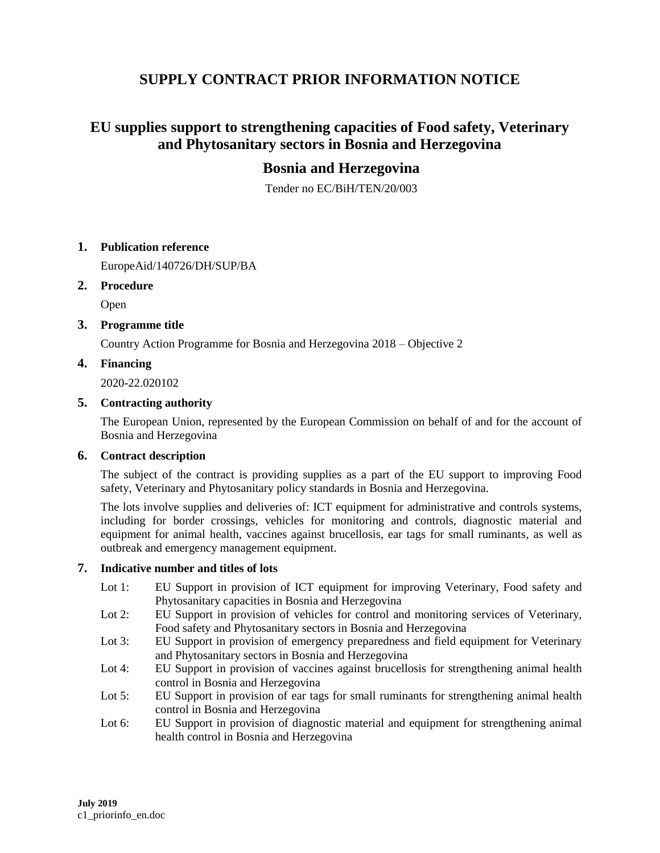# **SUPPLY CONTRACT PRIOR INFORMATION NOTICE**

# **EU supplies support to strengthening capacities of Food safety, Veterinary and Phytosanitary sectors in Bosnia and Herzegovina**

# **Bosnia and Herzegovina**

Tender no EC/BiH/TEN/20/003

## **1. Publication reference**

EuropeAid/140726/DH/SUP/BA

#### **2. Procedure**

Open

## **3. Programme title**

Country Action Programme for Bosnia and Herzegovina 2018 – Objective 2

## **4. Financing**

2020-22.020102

## **5. Contracting authority**

The European Union, represented by the European Commission on behalf of and for the account of Bosnia and Herzegovina

#### **6. Contract description**

The subject of the contract is providing supplies as a part of the EU support to improving Food safety, Veterinary and Phytosanitary policy standards in Bosnia and Herzegovina.

The lots involve supplies and deliveries of: ICT equipment for administrative and controls systems, including for border crossings, vehicles for monitoring and controls, diagnostic material and equipment for animal health, vaccines against brucellosis, ear tags for small ruminants, as well as outbreak and emergency management equipment.

#### **7. Indicative number and titles of lots**

- Lot 1: EU Support in provision of ICT equipment for improving Veterinary, Food safety and Phytosanitary capacities in Bosnia and Herzegovina
- Lot 2: EU Support in provision of vehicles for control and monitoring services of Veterinary, Food safety and Phytosanitary sectors in Bosnia and Herzegovina
- Lot 3: EU Support in provision of emergency preparedness and field equipment for Veterinary and Phytosanitary sectors in Bosnia and Herzegovina
- Lot 4: EU Support in provision of vaccines against brucellosis for strengthening animal health control in Bosnia and Herzegovina
- Lot 5: EU Support in provision of ear tags for small ruminants for strengthening animal health control in Bosnia and Herzegovina
- Lot 6: EU Support in provision of diagnostic material and equipment for strengthening animal health control in Bosnia and Herzegovina